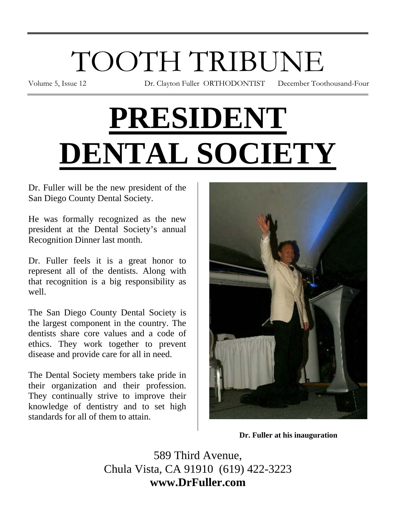# TOOTH TRIBUNE

Volume 5, Issue 12 Dr. Clayton Fuller ORTHODONTIST December Toothousand-Four

# **PRESIDENT DENTAL SOCIETY**

Dr. Fuller will be the new president of the San Diego County Dental Society.

He was formally recognized as the new president at the Dental Society's annual Recognition Dinner last month.

Dr. Fuller feels it is a great honor to represent all of the dentists. Along with that recognition is a big responsibility as well.

The San Diego County Dental Society is the largest component in the country. The dentists share core values and a code of ethics. They work together to prevent disease and provide care for all in need.

The Dental Society members take pride in their organization and their profession. They continually strive to improve their knowledge of dentistry and to set high standards for all of them to attain.



**Dr. Fuller at his inauguration** 

589 Third Avenue, Chula Vista, CA 91910 (619) 422-3223 **www.DrFuller.com**